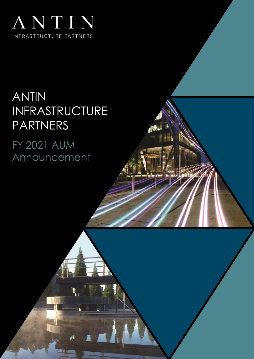

# ANTIN INFRASTRUCTURE PARTNERS

FY 2021 AUM Announcement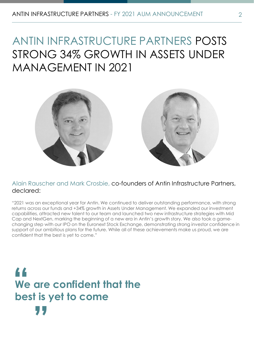## ANTIN INFRASTRUCTURE PARTNERS POSTS STRONG 34% GROWTH IN ASSETS UNDER MANAGEMENT IN 2021



## Alain Rauscher and Mark Crosbie, co-founders of Antin Infrastructure Partners, declared:

"2021 was an exceptional year for Antin. We continued to deliver outstanding performance, with strong returns across our funds and +34% growth in Assets Under Management. We expanded our investment capabilities, attracted new talent to our team and launched two new infrastructure strategies with Mid Cap and NextGen, marking the beginning of a new era in Antin's growth story. We also took a gamechanging step with our IPO on the Euronext Stock Exchange, demonstrating strong investor confidence in support of our ambitious plans for the future. While all of these achievements make us proud, we are confident that the best is yet to come."

**We are confident that the "**<br>We<br>he **best is yet to come "**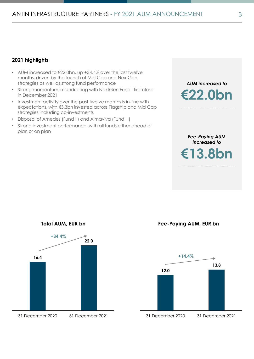## **2021 highlights**

- AUM increased to €22.0bn, up +34.4% over the last twelve months, driven by the launch of Mid Cap and NextGen strategies as well as strong fund performance
- Strong momentum in fundraising with NextGen Fund I first close in December 2021
- Investment activity over the past twelve months is in-line with expectations, with €3.3bn invested across Flagship and Mid Cap strategies including co-investments
- Disposal of Amedes (Fund II) and Almaviva (Fund III)
- Strong investment performance, with all funds either ahead of plan or on plan



*Fee-Paying AUM increased to* **€13.8bn** 



**Fee-Paying AUM, EUR bn**

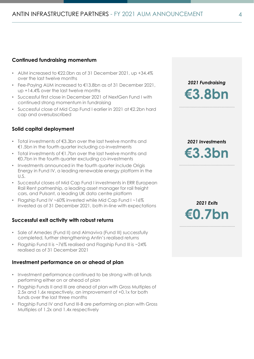## **Continued fundraising momentum**

- AUM increased to €22.0bn as of 31 December 2021, up +34.4% over the last twelve months
- Fee-Paying AUM increased to €13.8bn as of 31 December 2021, up +14.4% over the last twelve months
- Successful first close in December 2021 of NextGen Fund I with continued strong momentum in fundraising
- Successful close of Mid Cap Fund I earlier in 2021 at €2.2bn hard cap and oversubscribed

## **Solid capital deployment**

- Total investments of €3.3bn over the last twelve months and €1.5bn in the fourth quarter including co-investments
- Total investments of  $\notin$ 1.7bn over the last twelve months and €0.7bn in the fourth quarter excluding co-investments
- Investments announced in the fourth quarter include Origis Energy in Fund IV, a leading renewable energy platform in the U.S.
- Successful closes of Mid Cap Fund I investments in ERR European Rail Rent partnership, a leading asset manager for rail freight cars, and Pulsant, a leading UK data centre platform
- Flagship Fund IV ~60% invested while Mid Cap Fund I ~16% invested as of 31 December 2021, both in-line with expectations

#### **Successful exit activity with robust returns**

- Sale of Amedes (Fund II) and Almaviva (Fund III) successfully completed, further strengthening Antin's realised returns
- Flagship Fund II is ~76% realised and Flagship Fund III is ~24% realised as of 31 December 2021

#### **Investment performance on or ahead of plan**

- Investment performance continued to be strong with all funds performing either on or ahead of plan
- Flagship Funds II and III are ahead of plan with Gross Multiples of 2.5x and 1.6x respectively, an improvement of +0.1x for both funds over the last three months
- Flagship Fund IV and Fund III-B are performing on plan with Gross Multiples of 1.2x and 1.4x respectively

*2021 Fundraising*  **€3.8bn**

*2021 Investments*  **€3.3bn**

*2021 Exits*  **€0.7bn**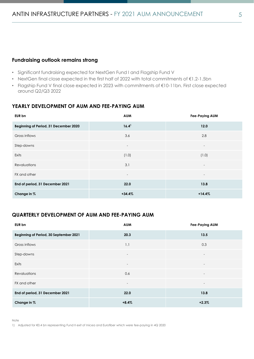## **Fundraising outlook remains strong**

- Significant fundraising expected for NextGen Fund I and Flagship Fund V
- NextGen final close expected in the first half of 2022 with total commitments of €1.2-1.5bn
- Flagship Fund V final close expected in 2023 with commitments of €10-11bn. First close expected around Q2/Q3 2022

## **YEARLY DEVELOPMENT OF AUM AND FEE-PAYING AUM**

| EUR bn                                | <b>AUM</b>               | <b>Fee-Paying AUM</b>    |
|---------------------------------------|--------------------------|--------------------------|
| Beginning of Period, 31 December 2020 | 16.4 <sup>1</sup>        | 12.0                     |
| Gross inflows                         | 3.6                      | 2.8                      |
| Step-downs                            | $\overline{\phantom{a}}$ | $\overline{\phantom{0}}$ |
| Exits                                 | (1.0)                    | (1.0)                    |
| Revaluations                          | 3.1                      | $\overline{\phantom{0}}$ |
| FX and other                          |                          |                          |
| End of period, 31 December 2021       | 22.0                     | 13.8                     |
| Change in %                           | $+34.4%$                 | $+14.4%$                 |

## **QUARTERLY DEVELOPMENT OF AUM AND FEE-PAYING AUM**

| EUR bn                                 | <b>AUM</b>               | Fee-Paying AUM           |
|----------------------------------------|--------------------------|--------------------------|
| Beginning of Period, 30 September 2021 | 20.3                     | 13.5                     |
| Gross inflows                          | 1.1                      | 0.3                      |
| Step-downs                             | $\overline{\phantom{a}}$ | $\overline{\phantom{a}}$ |
| Exits                                  | $\overline{\phantom{a}}$ | $\overline{\phantom{a}}$ |
| Revaluations                           | 0.6                      | $\overline{\phantom{a}}$ |
| FX and other                           | $\overline{\phantom{a}}$ | $\overline{\phantom{a}}$ |
| End of period, 31 December 2021        | 22.0                     | 13.8                     |
| Change in %                            | $+8.4%$                  | $+2.3%$                  |

Note

1) Adjusted for €0.4 bn representing Fund II exit of Inicea and Eurofiber which were fee-paying in 4Q 2020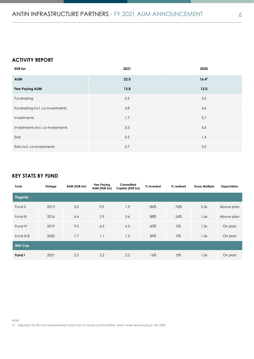## **ACTIVITY REPORT**

| <b>EUR bn</b>                    | 2021 | 2020              |
|----------------------------------|------|-------------------|
| <b>AUM</b>                       | 22.0 | 16.4 <sup>1</sup> |
| <b>Fee-Paying AUM</b>            | 13.8 | 12.0              |
| Fundraising                      | 2.5  | 3.2               |
| Fundraising incl. co-Investments | 3.8  | 4.6               |
| Investments                      | 1.7  | 3.7               |
| Investments incl. co-Investments | 3.3  | 4.3               |
| Exits                            | 0.5  | 1.4               |
| Exits incl. co-Investments       | 0.7  | 2.0               |

## **KEY STATS BY FUND**

| Fund           | Vintage | AUM (EUR bn) | Fee-Paying<br>AUM (EUR bn) | Committed<br>Capital (EUR bn) | % invested | % realised | <b>Gross Multiple</b> | Expectation |
|----------------|---------|--------------|----------------------------|-------------------------------|------------|------------|-----------------------|-------------|
| Flagship       |         |              |                            |                               |            |            |                       |             |
| Fund II        | 2013    | 2.0          | 0.9                        | 1.9                           | 86%        | 76%        | 2.5x                  | Above plan  |
| Fund III       | 2016    | 6.4          | 2.9                        | 3.6                           | 88%        | 24%        | 1.6x                  | Above plan  |
| Fund IV        | 2019    | 9.5          | 6.5                        | 6.5                           | 60%        | 0%         | 1.2x                  | On plan     |
| Fund III-B     | 2020    | 1.7          | 1.1                        | 1.2                           | 89%        | 0%         | 1.4x                  | On plan     |
| <b>Mid Cap</b> |         |              |                            |                               |            |            |                       |             |
| Fund I         | 2021    | 2.2          | 2.2                        | 2.2                           | 16%        | 0%         | 1.0x                  | On plan     |

Note

1) Adjusted for €0.4 bn representing Fund II exit of Inicea and Eurofiber which were fee-paying in 4Q 2020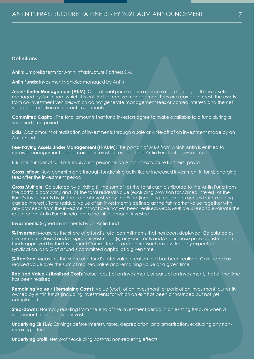#### **Definitions**

**Antin**: Umbrella term for Antin Infrastructure Partners S.A.

**Antin Funds**: Investment vehicles managed by Antin

**Assets Under Management (AUM):** Operational performance measure representing both the assets managed by Antin from which it is entitled to receive management fees or a carried interest, the assets from co-investment vehicles which do not generate management fees or carried interest, and the net value appreciation on current investments.

**Committed Capital**: The total amounts that fund investors agree to make available to a fund during a specified time period

**Exits**: Cost amount of realisation of investments through a sale or write-off of an investment made by an Antin Fund

**Fee-Paying Assets Under Management (FPAUM)**: The portion of AUM from which Antin is entitled to receive management fees or carried interest across all of the Antin Funds at a given time

**FTE**: The number of full-time equivalent personnel on Antin Infrastructure Partners' payroll

**Gross Inflow:** New commitments through fundraising activities or increased investment in funds charging fees after the investment period

**Gross Multiple**: Calculated by dividing (i) the sum of (a) the total cash distributed to the Antin Fund from the portfolio company and (b) the total residual value (excluding provision for carried interest) of the Fund's investments by (ii) the capital invested by the Fund (including fees and expenses but excluding carried interest). Total residual value of an investment is defined as the fair market value together with any proceeds from the investment that have not yet been realised. Gross Multiple is used to evaluate the return on an Antin Fund in relation to the initial amount invested.

**Investments**: Signed investments by an Antin fund

**% Invested**: Measures the share of a fund's total commitments that has been deployed. Calculated as the sum of (i) closed and/or signed investments (ii) any earn-outs and/or purchase price adjustments, (iii) funds approved by the Investment Committee for add-on transactions, (iv) less any expected syndication, as a % of a fund's committed capital at a given time

**% Realised**: Measures the share of a fund's total value creation that has been realised. Calculated as realised value over the sum of realised value and remaining value at a given time

**Realised Value / (Realised Cost)**: Value (cost) of an investment, or parts of an investment, that at the time has been realised

**Remaining Value / (Remaining Costs):** Value (cost) of an investment, or parts of an investment, currently owned by Antin funds (including investments for which an exit has been announced but not yet completed)

**Step-downs**: Normally resulting from the end of the investment period in an existing fund, or when a subsequent fund begins to invest

**Underlying EBITDA**: Earnings before interest, taxes, depreciation, and amortisation, excluding any nonrecurring effects

**Underlying profit**: Net profit excluding post-tax non-recurring effects